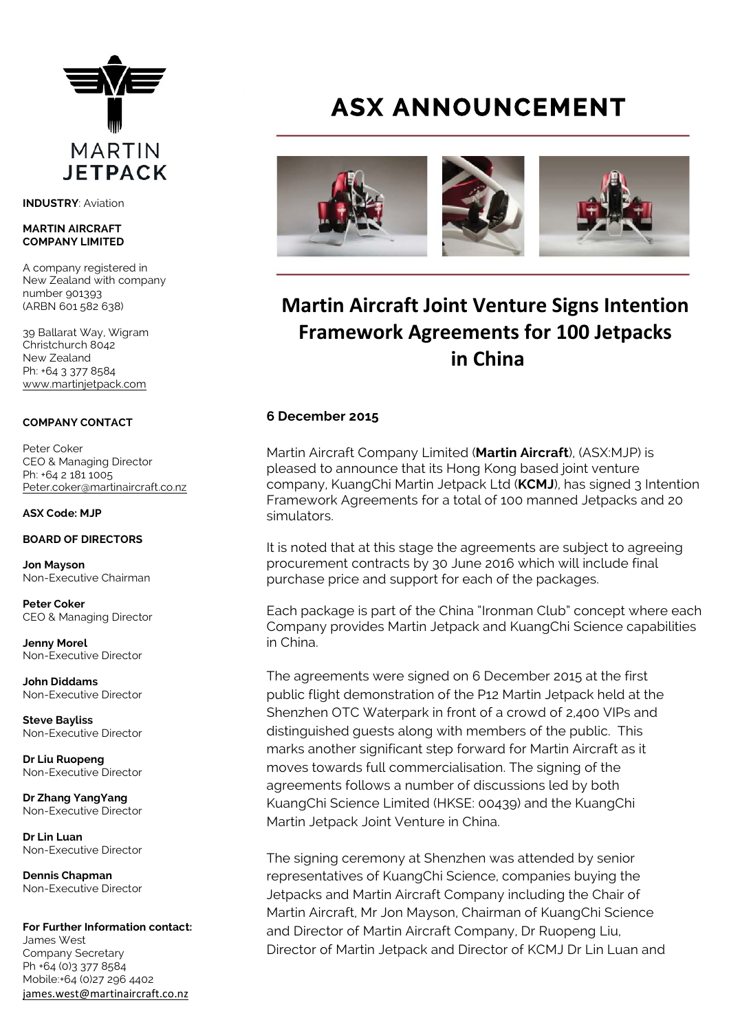

**INDUSTRY**: Aviation

#### **MARTIN AIRCRAFT COMPANY LIMITED**

A company registered in New Zealand with company number 901393 (ARBN 601 582 638)

39 Ballarat Way, Wigram Christchurch 8042 New Zealand Ph: +64 3 377 8584 [www.martinjetpack.com](http://www.martinjetpack.com)

### **COMPANY CONTACT**

Peter Coker CEO & Managing Director Ph: +64 2 181 1005 [Peter.coker@martinaircraft.co.nz](mailto:Peter.coker@martinaircraft.co.nz)

**ASX Code: MJP**

### **BOARD OF DIRECTORS**

**Jon Mayson**  Non-Executive Chairman

**Peter Coker**  CEO & Managing Director

**Jenny Morel**  Non-Executive Director

**John Diddams**  Non-Executive Director

**Steve Bayliss** Non-Executive Director

**Dr Liu Ruopeng**  Non-Executive Director

**Dr Zhang YangYang**  Non-Executive Director

**Dr Lin Luan** Non-Executive Director

**Dennis Chapman** Non-Executive Director

**For Further Information contact:** James West Company Secretary Ph +64 (0)3 377 8584 Mobile:+64 (0)27 296 4402 james.west@martinaircraft.co.nz

# **ASX ANNOUNCEMENT**



# **Martin Aircraft Joint Venture Signs Intention Framework Agreements for 100 Jetpacks in China**

### **6 December 2015**

Martin Aircraft Company Limited (**Martin Aircraft**), (ASX:MJP) is pleased to announce that its Hong Kong based joint venture company, KuangChi Martin Jetpack Ltd (**KCMJ**), has signed 3 Intention Framework Agreements for a total of 100 manned Jetpacks and 20 simulators.

It is noted that at this stage the agreements are subject to agreeing procurement contracts by 30 June 2016 which will include final purchase price and support for each of the packages.

Each package is part of the China "Ironman Club" concept where each Company provides Martin Jetpack and KuangChi Science capabilities in China.

The agreements were signed on 6 December 2015 at the first public flight demonstration of the P12 Martin Jetpack held at the Shenzhen OTC Waterpark in front of a crowd of 2,400 VIPs and distinguished guests along with members of the public. This marks another significant step forward for Martin Aircraft as it moves towards full commercialisation. The signing of the agreements follows a number of discussions led by both KuangChi Science Limited (HKSE: 00439) and the KuangChi Martin Jetpack Joint Venture in China.

The signing ceremony at Shenzhen was attended by senior representatives of KuangChi Science, companies buying the Jetpacks and Martin Aircraft Company including the Chair of Martin Aircraft, Mr Jon Mayson, Chairman of KuangChi Science and Director of Martin Aircraft Company, Dr Ruopeng Liu, Director of Martin Jetpack and Director of KCMJ Dr Lin Luan and